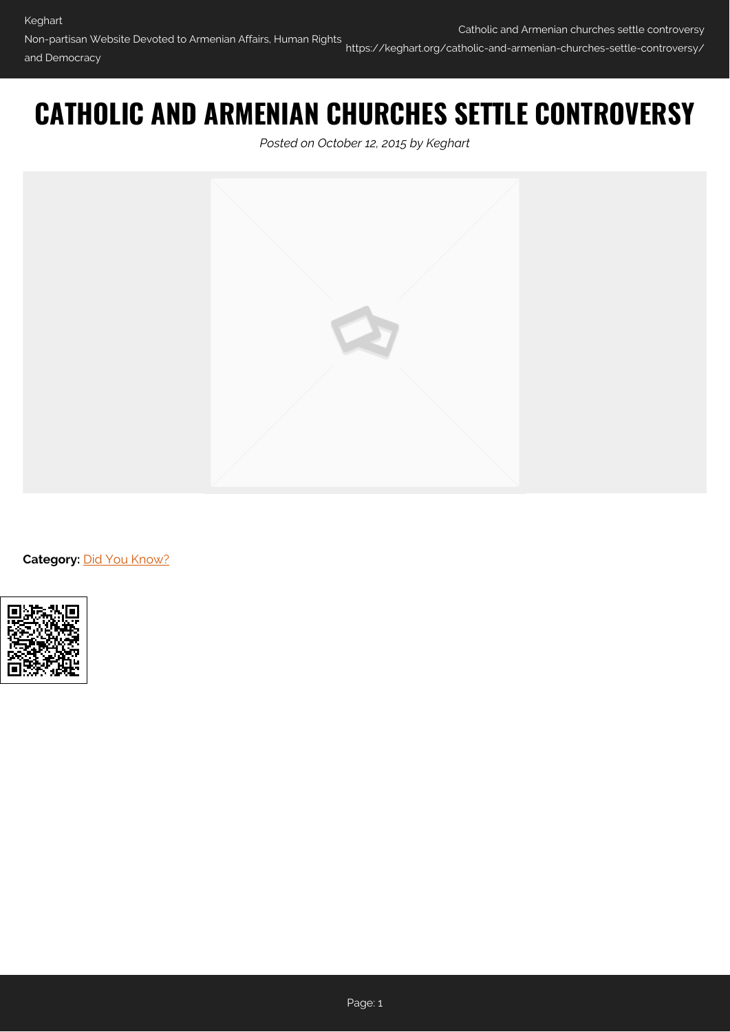and Democracy

## **CATHOLIC AND ARMENIAN CHURCHES SETTLE CONTROVERSY**

*Posted on October 12, 2015 by Keghart*



**Category: [Did You Know?](https://keghart.org/category/did-you-know/)** 

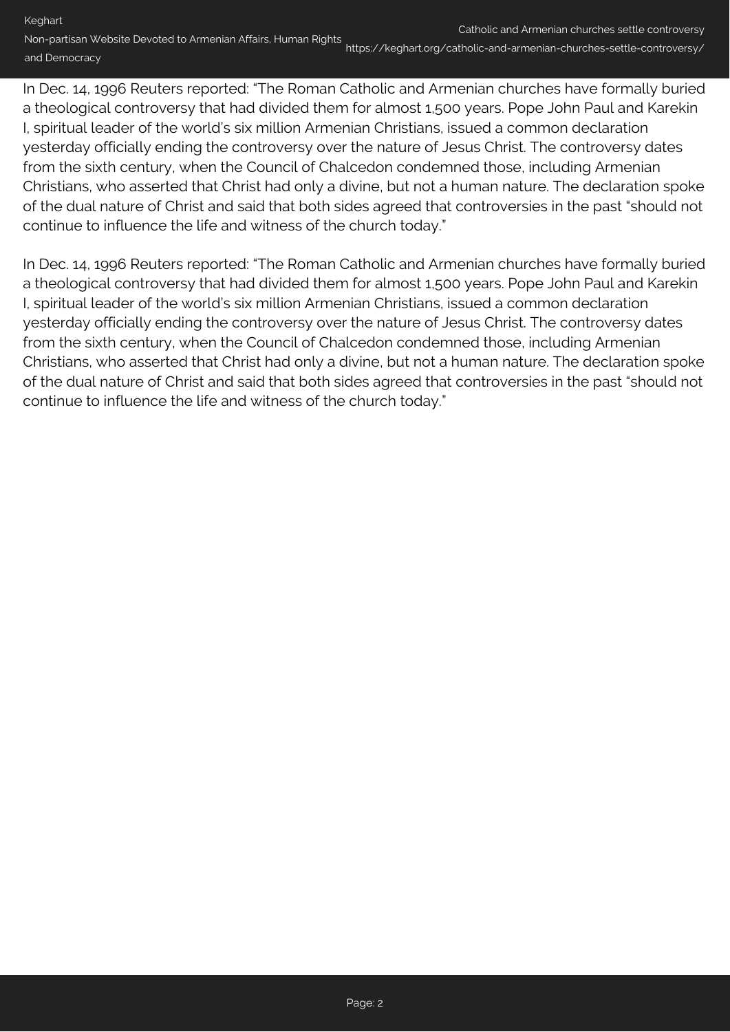https://keghart.org/catholic-and-armenian-churches-settle-controversy/

In Dec. 14, 1996 Reuters reported: "The Roman Catholic and Armenian churches have formally buried a theological controversy that had divided them for almost 1,500 years. Pope John Paul and Karekin I, spiritual leader of the world's six million Armenian Christians, issued a common declaration yesterday officially ending the controversy over the nature of Jesus Christ. The controversy dates from the sixth century, when the Council of Chalcedon condemned those, including Armenian Christians, who asserted that Christ had only a divine, but not a human nature. The declaration spoke of the dual nature of Christ and said that both sides agreed that controversies in the past "should not continue to influence the life and witness of the church today."

In Dec. 14, 1996 Reuters reported: "The Roman Catholic and Armenian churches have formally buried a theological controversy that had divided them for almost 1,500 years. Pope John Paul and Karekin I, spiritual leader of the world's six million Armenian Christians, issued a common declaration yesterday officially ending the controversy over the nature of Jesus Christ. The controversy dates from the sixth century, when the Council of Chalcedon condemned those, including Armenian Christians, who asserted that Christ had only a divine, but not a human nature. The declaration spoke of the dual nature of Christ and said that both sides agreed that controversies in the past "should not continue to influence the life and witness of the church today."